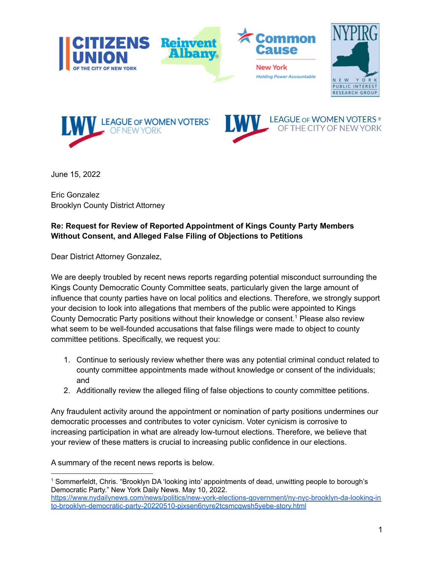





June 15, 2022

Eric Gonzalez Brooklyn County District Attorney

## **Re: Request for Review of Reported Appointment of Kings County Party Members Without Consent, and Alleged False Filing of Objections to Petitions**

Dear District Attorney Gonzalez,

We are deeply troubled by recent news reports regarding potential misconduct surrounding the Kings County Democratic County Committee seats, particularly given the large amount of influence that county parties have on local politics and elections. Therefore, we strongly support your decision to look into allegations that members of the public were appointed to Kings County Democratic Party positions without their knowledge or consent. <sup>1</sup> Please also review what seem to be well-founded accusations that false filings were made to object to county committee petitions. Specifically, we request you:

- 1. Continue to seriously review whether there was any potential criminal conduct related to county committee appointments made without knowledge or consent of the individuals; and
- 2. Additionally review the alleged filing of false objections to county committee petitions.

Any fraudulent activity around the appointment or nomination of party positions undermines our democratic processes and contributes to voter cynicism. Voter cynicism is corrosive to increasing participation in what are already low-turnout elections. Therefore, we believe that your review of these matters is crucial to increasing public confidence in our elections.

A summary of the recent news reports is below.

<sup>1</sup> Sommerfeldt, Chris. "Brooklyn DA 'looking into' appointments of dead, unwitting people to borough's Democratic Party." New York Daily News. May 10, 2022. [https://www.nydailynews.com/news/politics/new-york-elections-government/ny-nyc-brooklyn-da-looking-in](https://www.nydailynews.com/news/politics/new-york-elections-government/ny-nyc-brooklyn-da-looking-into-brooklyn-democratic-party-20220510-pjxsen6nyre2tcsmcqwsh5yebe-story.html) [to-brooklyn-democratic-party-20220510-pjxsen6nyre2tcsmcqwsh5yebe-story.html](https://www.nydailynews.com/news/politics/new-york-elections-government/ny-nyc-brooklyn-da-looking-into-brooklyn-democratic-party-20220510-pjxsen6nyre2tcsmcqwsh5yebe-story.html)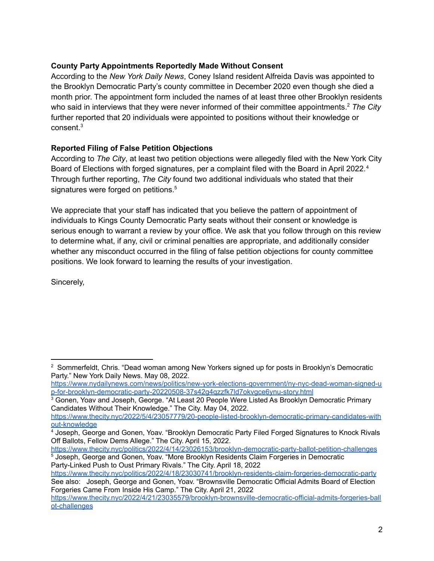## **County Party Appointments Reportedly Made Without Consent**

According to the *New York Daily News*, Coney Island resident Alfreida Davis was appointed to the Brooklyn Democratic Party's county committee in December 2020 even though she died a month prior. The appointment form included the names of at least three other Brooklyn residents who said in interviews that they were never informed of their committee appointments. <sup>2</sup> *The City* further reported that 20 individuals were appointed to positions without their knowledge or consent. 3

## **Reported Filing of False Petition Objections**

According to *The City*, at least two petition objections were allegedly filed with the New York City Board of Elections with forged signatures, per a complaint filed with the Board in April 2022.<sup>4</sup> Through further reporting, *The City* found two additional individuals who stated that their signatures were forged on petitions.<sup>5</sup>

We appreciate that your staff has indicated that you believe the pattern of appointment of individuals to Kings County Democratic Party seats without their consent or knowledge is serious enough to warrant a review by your office. We ask that you follow through on this review to determine what, if any, civil or criminal penalties are appropriate, and additionally consider whether any misconduct occurred in the filing of false petition objections for county committee positions. We look forward to learning the results of your investigation.

Sincerely,

<sup>5</sup> Joseph, George and Gonen, Yoav. "More Brooklyn Residents Claim Forgeries in Democratic <https://www.thecity.nyc/politics/2022/4/14/23026153/brooklyn-democratic-party-ballot-petition-challenges>

Party-Linked Push to Oust Primary Rivals." The City. April 18, 2022

<sup>&</sup>lt;sup>2</sup> Sommerfeldt, Chris. "Dead woman among New Yorkers signed up for posts in Brooklyn's Democratic Party." New York Daily News. May 08, 2022.

[https://www.nydailynews.com/news/politics/new-york-elections-government/ny-nyc-dead-woman-signed-u](https://www.nydailynews.com/news/politics/new-york-elections-government/ny-nyc-dead-woman-signed-up-for-brooklyn-democratic-party-20220508-37s42g4qzzfk7ld7okvgce6ynu-story.html) [p-for-brooklyn-democratic-party-20220508-37s42g4qzzfk7ld7okvgce6ynu-story.html](https://www.nydailynews.com/news/politics/new-york-elections-government/ny-nyc-dead-woman-signed-up-for-brooklyn-democratic-party-20220508-37s42g4qzzfk7ld7okvgce6ynu-story.html)

<sup>&</sup>lt;sup>3</sup> Gonen, Yoav and Joseph, George. "At Least 20 People Were Listed As Brooklyn Democratic Primary Candidates Without Their Knowledge." The City. May 04, 2022.

[https://www.thecity.nyc/2022/5/4/23057779/20-people-listed-brooklyn-democratic-primary-candidates-with](https://www.thecity.nyc/2022/5/4/23057779/20-people-listed-brooklyn-democratic-primary-candidates-without-knowledge) [out-knowledge](https://www.thecity.nyc/2022/5/4/23057779/20-people-listed-brooklyn-democratic-primary-candidates-without-knowledge)

<sup>4</sup> Joseph, George and Gonen, Yoav. "Brooklyn Democratic Party Filed Forged Signatures to Knock Rivals Off Ballots, Fellow Dems Allege." The City. April 15, 2022.

<https://www.thecity.nyc/politics/2022/4/18/23030741/brooklyn-residents-claim-forgeries-democratic-party> See also: Joseph, George and Gonen, Yoav. "Brownsville Democratic Official Admits Board of Election Forgeries Came From Inside His Camp." The City. April 21, 2022

[https://www.thecity.nyc/2022/4/21/23035579/brooklyn-brownsville-democratic-official-admits-forgeries-ball](https://www.thecity.nyc/2022/4/21/23035579/brooklyn-brownsville-democratic-official-admits-forgeries-ballot-challenges) [ot-challenges](https://www.thecity.nyc/2022/4/21/23035579/brooklyn-brownsville-democratic-official-admits-forgeries-ballot-challenges)